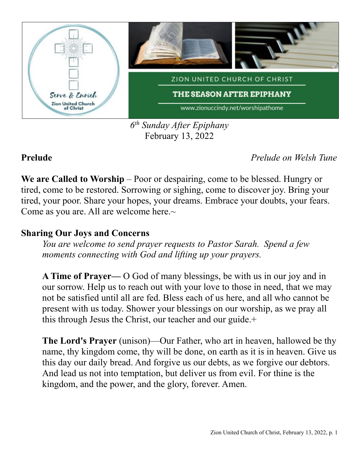

*6 th Sunday After Epiphany* February 13, 2022

**Prelude** *Prelude on Welsh Tune*

**We are Called to Worship** – Poor or despairing, come to be blessed. Hungry or tired, come to be restored. Sorrowing or sighing, come to discover joy. Bring your tired, your poor. Share your hopes, your dreams. Embrace your doubts, your fears. Come as you are. All are welcome here.~

### **Sharing Our Joys and Concerns**

*You are welcome to send prayer requests to Pastor Sarah. Spend a few moments connecting with God and lifting up your prayers.*

**A Time of Prayer—** O God of many blessings, be with us in our joy and in our sorrow. Help us to reach out with your love to those in need, that we may not be satisfied until all are fed. Bless each of us here, and all who cannot be present with us today. Shower your blessings on our worship, as we pray all this through Jesus the Christ, our teacher and our guide.+

**The Lord's Prayer** (unison)—Our Father, who art in heaven, hallowed be thy name, thy kingdom come, thy will be done, on earth as it is in heaven. Give us this day our daily bread. And forgive us our debts, as we forgive our debtors. And lead us not into temptation, but deliver us from evil. For thine is the kingdom, and the power, and the glory, forever. Amen.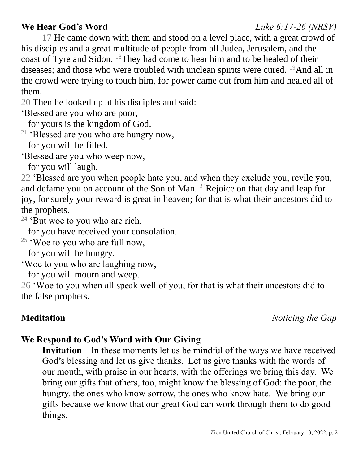# **We Hear God's Word** *Luke 6:17-26 (NRSV)*

17 He came down with them and stood on a level place, with a great crowd of his disciples and a great multitude of people from all Judea, Jerusalem, and the coast of Tyre and Sidon. <sup>18</sup>They had come to hear him and to be healed of their diseases; and those who were troubled with unclean spirits were cured. <sup>19</sup>And all in the crowd were trying to touch him, for power came out from him and healed all of them.

20 Then he looked up at his disciples and said:

'Blessed are you who are poor,

for yours is the kingdom of God.

<sup>21</sup> 'Blessed are you who are hungry now,

for you will be filled.

'Blessed are you who weep now,

for you will laugh.

22 'Blessed are you when people hate you, and when they exclude you, revile you, and defame you on account of the Son of Man. <sup>23</sup>Rejoice on that day and leap for joy, for surely your reward is great in heaven; for that is what their ancestors did to the prophets.

 $24$  'But woe to you who are rich,

for you have received your consolation.

 $25$  'Woe to you who are full now,

for you will be hungry.

'Woe to you who are laughing now,

for you will mourn and weep.

26 'Woe to you when all speak well of you, for that is what their ancestors did to the false prophets.

**Meditation** *Noticing the Gap*

## **We Respond to God's Word with Our Giving**

**Invitation—**In these moments let us be mindful of the ways we have received God's blessing and let us give thanks. Let us give thanks with the words of our mouth, with praise in our hearts, with the offerings we bring this day. We bring our gifts that others, too, might know the blessing of God: the poor, the hungry, the ones who know sorrow, the ones who know hate. We bring our gifts because we know that our great God can work through them to do good things.